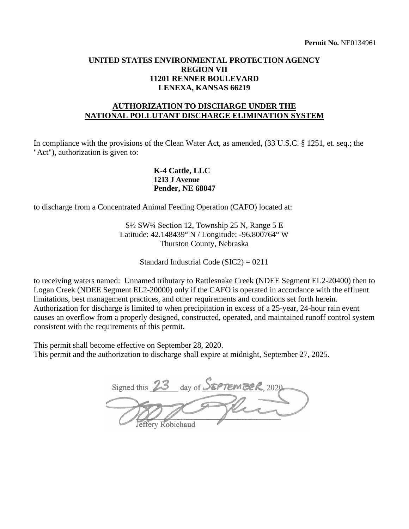#### **UNITED STATES ENVIRONMENTAL PROTECTION AGENCY REGION VII 11201 RENNER BOULEVARD LENEXA, KANSAS 66219**

# **AUTHORIZATION TO DISCHARGE UNDER THE NATIONAL POLLUTANT DISCHARGE ELIMINATION SYSTEM**

In compliance with the provisions of the Clean Water Act, as amended,  $(33 \text{ U.S.C.} \text{ § } 1251, \text{ et.} \text{ seq.}; \text{ the }$ "Act"), authorization is given to:

#### **K-4 Cattle, LLC 1213 J Avenue Pender, NE 68047**

to discharge from a Concentrated Animal Feeding Operation (CAFO) located at:

S½ SW¼ Section 12, Township 25 N, Range 5 E Latitude: 42.148439° N / Longitude: -96.800764° W Thurston County, Nebraska

Standard Industrial Code (SIC2) = 0211

to receiving waters named: Unnamed tributary to Rattlesnake Creek (NDEE Segment EL2-20400) then to causes an overflow from a properly designed, constructed, operated, and maintained runoff control system Logan Creek (NDEE Segment EL2-20000) only if the CAFO is operated in accordance with the effluent limitations, best management practices, and other requirements and conditions set forth herein. Authorization for discharge is limited to when precipitation in excess of a 25-year, 24-hour rain event consistent with the requirements of this permit.

This permit shall become effective on September 28, 2020. This permit and the authorization to discharge shall expire at midnight, September 27, 2025.

Signed this 23 day of SEPTEMBER, 2020 effery Robichaud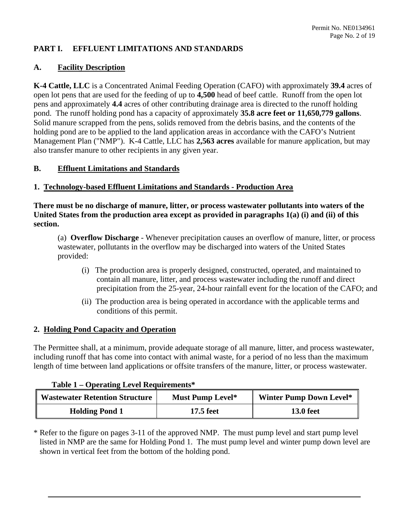#### **PART I. EFFLUENT LIMITATIONS AND STANDARDS**

#### **A. Facility Description**

 **K-4 Cattle, LLC** is a Concentrated Animal Feeding Operation (CAFO) with approximately **39.4** acres of open lot pens that are used for the feeding of up to **4,500** head of beef cattle. Runoff from the open lot pens and approximately **4.4** acres of other contributing drainage area is directed to the runoff holding pond. The runoff holding pond has a capacity of approximately **35.8 acre feet or 11,650,779 gallons**. Management Plan ("NMP"). K-4 Cattle, LLC has **2,563 acres** available for manure application, but may Solid manure scrapped from the pens, solids removed from the debris basins, and the contents of the holding pond are to be applied to the land application areas in accordance with the CAFO's Nutrient also transfer manure to other recipients in any given year.

#### **B. Effluent Limitations and Standards**

#### **1. Technology-based Effluent Limitations and Standards - Production Area**

**There must be no discharge of manure, litter, or process wastewater pollutants into waters of the United States from the production area except as provided in paragraphs 1(a) (i) and (ii) of this section.** 

 (a) **Overflow Discharge** - Whenever precipitation causes an overflow of manure, litter, or process wastewater, pollutants in the overflow may be discharged into waters of the United States provided:

- (i) The production area is properly designed, constructed, operated, and maintained to contain all manure, litter, and process wastewater including the runoff and direct precipitation from the 25-year, 24-hour rainfall event for the location of the CAFO; and
- (ii) The production area is being operated in accordance with the applicable terms and conditions of this permit.

#### **2. Holding Pond Capacity and Operation**

 The Permittee shall, at a minimum, provide adequate storage of all manure, litter, and process wastewater, length of time between land applications or offsite transfers of the manure, litter, or process wastewater. including runoff that has come into contact with animal waste, for a period of no less than the maximum

#### **Table 1 – Operating Level Requirements\***

| Wastewater Retention Structure | <b>Must Pump Level*</b> | <b>Winter Pump Down Level*</b> |
|--------------------------------|-------------------------|--------------------------------|
| <b>Holding Pond 1</b>          | 17.5 feet               | <b>13.0 feet</b>               |

 \* Refer to the figure on pages 3-11 of the approved NMP. The must pump level and start pump level listed in NMP are the same for Holding Pond 1. The must pump level and winter pump down level are shown in vertical feet from the bottom of the holding pond.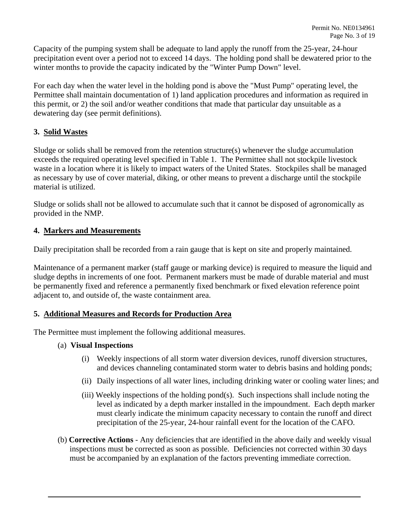winter months to provide the capacity indicated by the "Winter Pump Down" level. Capacity of the pumping system shall be adequate to land apply the runoff from the 25-year, 24-hour precipitation event over a period not to exceed 14 days. The holding pond shall be dewatered prior to the

 For each day when the water level in the holding pond is above the "Must Pump" operating level, the Permittee shall maintain documentation of 1) land application procedures and information as required in this permit, or 2) the soil and/or weather conditions that made that particular day unsuitable as a dewatering day (see permit definitions).

# **3. Solid Wastes**

 Sludge or solids shall be removed from the retention structure(s) whenever the sludge accumulation exceeds the required operating level specified in Table 1. The Permittee shall not stockpile livestock material is utilized. waste in a location where it is likely to impact waters of the United States. Stockpiles shall be managed as necessary by use of cover material, diking, or other means to prevent a discharge until the stockpile

Sludge or solids shall not be allowed to accumulate such that it cannot be disposed of agronomically as provided in the NMP.

#### **4. Markers and Measurements**

Daily precipitation shall be recorded from a rain gauge that is kept on site and properly maintained.

 sludge depths in increments of one foot. Permanent markers must be made of durable material and must Maintenance of a permanent marker (staff gauge or marking device) is required to measure the liquid and be permanently fixed and reference a permanently fixed benchmark or fixed elevation reference point adjacent to, and outside of, the waste containment area.

#### **5. Additional Measures and Records for Production Area**

The Permittee must implement the following additional measures.

#### (a) **Visual Inspections**

- (i) Weekly inspections of all storm water diversion devices, runoff diversion structures, and devices channeling contaminated storm water to debris basins and holding ponds;
- (ii) Daily inspections of all water lines, including drinking water or cooling water lines; and
- level as indicated by a depth marker installed in the impoundment. Each depth marker (iii) Weekly inspections of the holding pond(s). Such inspections shall include noting the must clearly indicate the minimum capacity necessary to contain the runoff and direct precipitation of the 25-year, 24-hour rainfall event for the location of the CAFO.
- (b) **Corrective Actions**  Any deficiencies that are identified in the above daily and weekly visual inspections must be corrected as soon as possible. Deficiencies not corrected within 30 days must be accompanied by an explanation of the factors preventing immediate correction.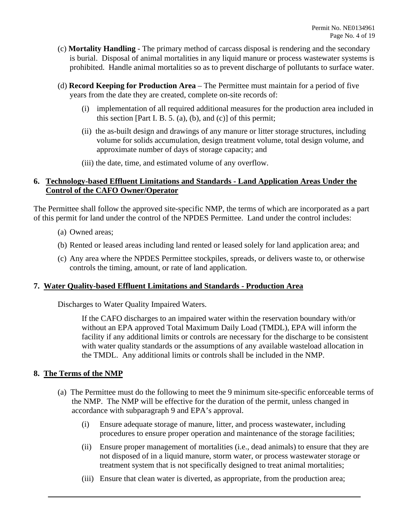- (c) **Mortality Handling**  The primary method of carcass disposal is rendering and the secondary prohibited. Handle animal mortalities so as to prevent discharge of pollutants to surface water. is burial. Disposal of animal mortalities in any liquid manure or process wastewater systems is
- prohibited. Handle animal mortalities so as to prevent discharge of pollutants to surface water. (d) **Record Keeping for Production Area**  The Permittee must maintain for a period of five years from the date they are created, complete on-site records of:
	- (i) implementation of all required additional measures for the production area included in this section [Part I. B. 5. (a), (b), and (c)] of this permit;
	- (ii) the as-built design and drawings of any manure or litter storage structures, including volume for solids accumulation, design treatment volume, total design volume, and approximate number of days of storage capacity; and
	- (iii) the date, time, and estimated volume of any overflow.

#### **6. Technology-based Effluent Limitations and Standards - Land Application Areas Under the Control of the CAFO Owner/Operator**

The Permittee shall follow the approved site-specific NMP, the terms of which are incorporated as a part of this permit for land under the control of the NPDES Permittee. Land under the control includes:

- (a) Owned areas;
- (b) Rented or leased areas including land rented or leased solely for land application area; and
- (c) Any area where the NPDES Permittee stockpiles, spreads, or delivers waste to, or otherwise controls the timing, amount, or rate of land application.

#### **7. Water Quality-based Effluent Limitations and Standards - Production Area**

Discharges to Water Quality Impaired Waters.

If the CAFO discharges to an impaired water within the reservation boundary with/or without an EPA approved Total Maximum Daily Load (TMDL), EPA will inform the facility if any additional limits or controls are necessary for the discharge to be consistent with water quality standards or the assumptions of any available wasteload allocation in the TMDL. Any additional limits or controls shall be included in the NMP.

#### **8. The Terms of the NMP**

- accordance with subparagraph 9 and EPA's approval. (a) The Permittee must do the following to meet the 9 minimum site-specific enforceable terms of the NMP. The NMP will be effective for the duration of the permit, unless changed in
	- procedures to ensure proper operation and maintenance of the storage facilities; (i) Ensure adequate storage of manure, litter, and process wastewater, including
	- (ii) Ensure proper management of mortalities (i.e., dead animals) to ensure that they are not disposed of in a liquid manure, storm water, or process wastewater storage or treatment system that is not specifically designed to treat animal mortalities;
	- (iii) Ensure that clean water is diverted, as appropriate, from the production area;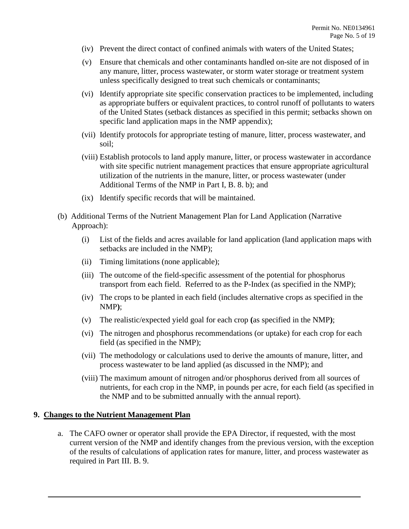- (iv) Prevent the direct contact of confined animals with waters of the United States;
- (v) Ensure that chemicals and other contaminants handled on-site are not disposed of in any manure, litter, process wastewater, or storm water storage or treatment system unless specifically designed to treat such chemicals or contaminants;
- specific land application maps in the NMP appendix); (vi) Identify appropriate site specific conservation practices to be implemented, including as appropriate buffers or equivalent practices, to control runoff of pollutants to waters of the United States (setback distances as specified in this permit; setbacks shown on
- (vii) Identify protocols for appropriate testing of manure, litter, process wastewater, and soil;
- Additional Terms of the NMP in Part I, B. 8. b); and (viii) Establish protocols to land apply manure, litter, or process wastewater in accordance with site specific nutrient management practices that ensure appropriate agricultural utilization of the nutrients in the manure, litter, or process wastewater (under
- (ix) Identify specific records that will be maintained.
- (b) Additional Terms of the Nutrient Management Plan for Land Application (Narrative Approach):
	- (i) List of the fields and acres available for land application (land application maps with setbacks are included in the NMP);
	- (ii) Timing limitations (none applicable);
	- (iii) The outcome of the field-specific assessment of the potential for phosphorus transport from each field. Referred to as the P-Index (as specified in the NMP);
	- (iv) The crops to be planted in each field (includes alternative crops as specified in the NMP**)**;
	- (v) The realistic/expected yield goal for each crop **(**as specified in the NMP**)**;
	- (vi) The nitrogen and phosphorus recommendations (or uptake) for each crop for each field (as specified in the NMP);
	- (vii) The methodology or calculations used to derive the amounts of manure, litter, and process wastewater to be land applied (as discussed in the NMP); and
	- the NMP and to be submitted annually with the annual report). (viii) The maximum amount of nitrogen and/or phosphorus derived from all sources of nutrients, for each crop in the NMP, in pounds per acre, for each field (as specified in

#### **9. Changes to the Nutrient Management Plan**

 a. The CAFO owner or operator shall provide the EPA Director, if requested, with the most of the results of calculations of application rates for manure, litter, and process wastewater as required in Part III. B. 9. current version of the NMP and identify changes from the previous version, with the exception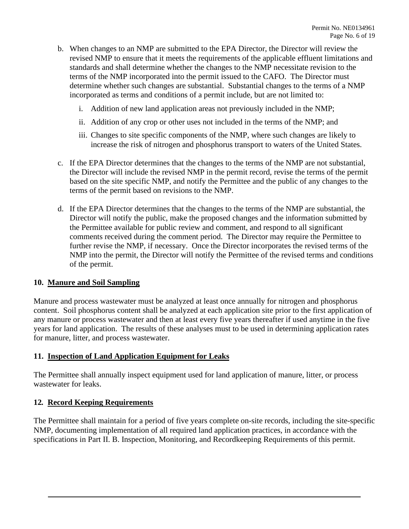- standards and shall determine whether the changes to the NMP necessitate revision to the determine whether such changes are substantial. Substantial changes to the terms of a NMP b. When changes to an NMP are submitted to the EPA Director, the Director will review the revised NMP to ensure that it meets the requirements of the applicable effluent limitations and terms of the NMP incorporated into the permit issued to the CAFO. The Director must incorporated as terms and conditions of a permit include, but are not limited to:
	- i. Addition of new land application areas not previously included in the NMP;
	- ii. Addition of any crop or other uses not included in the terms of the NMP; and
	- iii. Changes to site specific components of the NMP, where such changes are likely to increase the risk of nitrogen and phosphorus transport to waters of the United States.
- c. If the EPA Director determines that the changes to the terms of the NMP are not substantial, the Director will include the revised NMP in the permit record, revise the terms of the permit based on the site specific NMP, and notify the Permittee and the public of any changes to the terms of the permit based on revisions to the NMP.
- the Permittee available for public review and comment, and respond to all significant d. If the EPA Director determines that the changes to the terms of the NMP are substantial, the Director will notify the public, make the proposed changes and the information submitted by comments received during the comment period. The Director may require the Permittee to further revise the NMP, if necessary. Once the Director incorporates the revised terms of the NMP into the permit, the Director will notify the Permittee of the revised terms and conditions of the permit.

#### **10. Manure and Soil Sampling**

 Manure and process wastewater must be analyzed at least once annually for nitrogen and phosphorus any manure or process wastewater and then at least every five years thereafter if used anytime in the five years for land application. The results of these analyses must to be used in determining application rates content. Soil phosphorus content shall be analyzed at each application site prior to the first application of for manure, litter, and process wastewater.

#### **11. Inspection of Land Application Equipment for Leaks**

The Permittee shall annually inspect equipment used for land application of manure, litter, or process wastewater for leaks.

#### **12***.* **Record Keeping Requirements**

The Permittee shall maintain for a period of five years complete on-site records, including the site-specific NMP, documenting implementation of all required land application practices, in accordance with the specifications in Part II. B. Inspection, Monitoring, and Recordkeeping Requirements of this permit.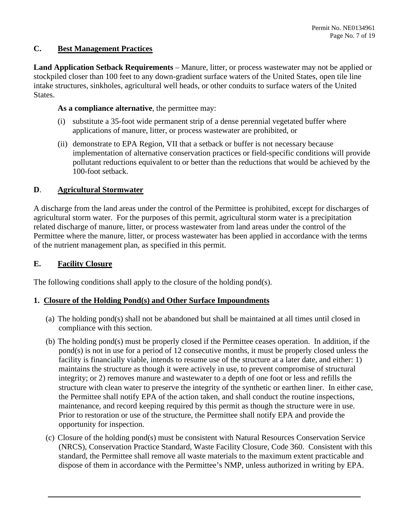# **C. Best Management Practices**

 **Land Application Setback Requirements** – Manure, litter, or process wastewater may not be applied or intake structures, sinkholes, agricultural well heads, or other conduits to surface waters of the United stockpiled closer than 100 feet to any down-gradient surface waters of the United States, open tile line States.

#### As a compliance alternative, the permittee may:

- (i) substitute a 35-foot wide permanent strip of a dense perennial vegetated buffer where applications of manure, litter, or process wastewater are prohibited, or
- (ii) demonstrate to EPA Region, VII that a setback or buffer is not necessary because implementation of alternative conservation practices or field-specific conditions will provide pollutant reductions equivalent to or better than the reductions that would be achieved by the 100-foot setback.

#### **D**. **Agricultural Stormwater**

 A discharge from the land areas under the control of the Permittee is prohibited, except for discharges of agricultural storm water. For the purposes of this permit, agricultural storm water is a precipitation Permittee where the manure, litter, or process wastewater has been applied in accordance with the terms related discharge of manure, litter, or process wastewater from land areas under the control of the of the nutrient management plan, as specified in this permit.

### **E. Facility Closure**

The following conditions shall apply to the closure of the holding pond(s).

#### **1. Closure of the Holding Pond(s) and Other Surface Impoundments**

- (a) The holding pond(s) shall not be abandoned but shall be maintained at all times until closed in compliance with this section.
- pond(s) is not in use for a period of 12 consecutive months, it must be properly closed unless the (b) The holding pond(s) must be properly closed if the Permittee ceases operation. In addition, if the facility is financially viable, intends to resume use of the structure at a later date, and either: 1) maintains the structure as though it were actively in use, to prevent compromise of structural integrity; or 2) removes manure and wastewater to a depth of one foot or less and refills the structure with clean water to preserve the integrity of the synthetic or earthen liner. In either case, the Permittee shall notify EPA of the action taken, and shall conduct the routine inspections, maintenance, and record keeping required by this permit as though the structure were in use. Prior to restoration or use of the structure, the Permittee shall notify EPA and provide the opportunity for inspection.
- (c) Closure of the holding pond(s) must be consistent with Natural Resources Conservation Service (NRCS), Conservation Practice Standard, Waste Facility Closure, Code 360. Consistent with this standard, the Permittee shall remove all waste materials to the maximum extent practicable and dispose of them in accordance with the Permittee's NMP, unless authorized in writing by EPA.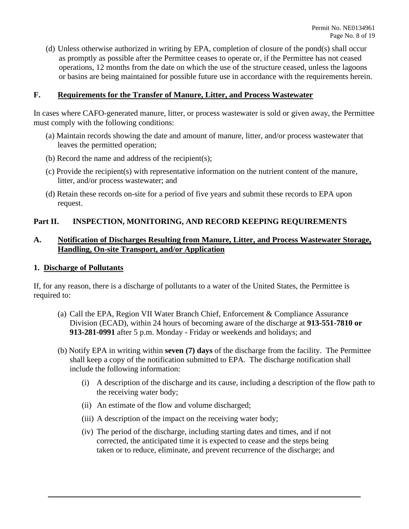(d) Unless otherwise authorized in writing by EPA, completion of closure of the pond(s) shall occur as promptly as possible after the Permittee ceases to operate or, if the Permittee has not ceased operations, 12 months from the date on which the use of the structure ceased, unless the lagoons or basins are being maintained for possible future use in accordance with the requirements herein.

#### **F. Requirements for the Transfer of Manure, Litter, and Process Wastewater**

In cases where CAFO-generated manure, litter, or process wastewater is sold or given away, the Permittee must comply with the following conditions:

- (a) Maintain records showing the date and amount of manure, litter, and/or process wastewater that leaves the permitted operation;
- (b) Record the name and address of the recipient(s);
- litter, and/or process wastewater; and (c) Provide the recipient(s) with representative information on the nutrient content of the manure,
- (d) Retain these records on-site for a period of five years and submit these records to EPA upon request.

#### **Part II. INSPECTION, MONITORING, AND RECORD KEEPING REQUIREMENTS**

#### **A. Notification of Discharges Resulting from Manure, Litter, and Process Wastewater Storage, Handling, On-site Transport, and/or Application**

#### **1. Discharge of Pollutants**

required to: If, for any reason, there is a discharge of pollutants to a water of the United States, the Permittee is

- required to: (a) Call the EPA, Region VII Water Branch Chief, Enforcement & Compliance Assurance Division (ECAD), within 24 hours of becoming aware of the discharge at **913-551-7810 or 913-281-0991** after 5 p.m. Monday - Friday or weekends and holidays; and
	- (b) Notify EPA in writing within **seven (7) days** of the discharge from the facility. The Permittee shall keep a copy of the notification submitted to EPA. The discharge notification shall include the following information:
		- (i) A description of the discharge and its cause, including a description of the flow path to the receiving water body;
		- (ii) An estimate of the flow and volume discharged;
		- (ii) An estimate of the flow and volume discharged; (iii) A description of the impact on the receiving water body;
		- (iv) The period of the discharge, including starting dates and times, and if not (iv) The period of the discharge, including starting dates and times, and if not corrected, the anticipated time it is expected to cease and the steps being taken or to reduce, eliminate, and prevent recurrence of the disc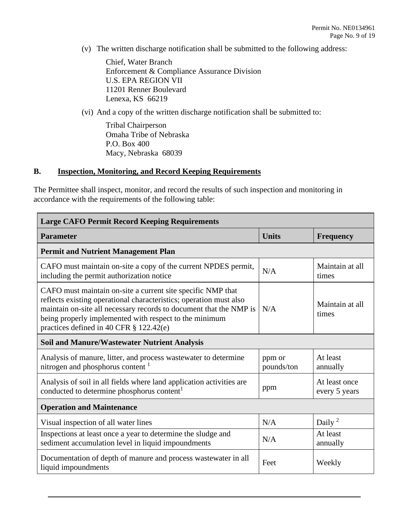(v) The written discharge notification shall be submitted to the following address:

 Enforcement & Compliance Assurance Division Chief, Water Branch U.S. EPA REGION VII 11201 Renner Boulevard Lenexa, KS 66219

(vi) And a copy of the written discharge notification shall be submitted to:

 Macy, Nebraska 68039 Tribal Chairperson Omaha Tribe of Nebraska P.O. Box 400

#### **B. Inspection, Monitoring, and Record Keeping Requirements**

The Permittee shall inspect, monitor, and record the results of such inspection and monitoring in accordance with the requirements of the following table:

| <b>Large CAFO Permit Record Keeping Requirements</b>                                                                                                                                                                                                                                                         |                      |                                |  |  |  |
|--------------------------------------------------------------------------------------------------------------------------------------------------------------------------------------------------------------------------------------------------------------------------------------------------------------|----------------------|--------------------------------|--|--|--|
| <b>Parameter</b>                                                                                                                                                                                                                                                                                             | <b>Units</b>         | <b>Frequency</b>               |  |  |  |
| <b>Permit and Nutrient Management Plan</b>                                                                                                                                                                                                                                                                   |                      |                                |  |  |  |
| CAFO must maintain on-site a copy of the current NPDES permit,<br>including the permit authorization notice                                                                                                                                                                                                  | N/A                  | Maintain at all<br>times       |  |  |  |
| CAFO must maintain on-site a current site specific NMP that<br>reflects existing operational characteristics; operation must also<br>maintain on-site all necessary records to document that the NMP is<br>being properly implemented with respect to the minimum<br>practices defined in 40 CFR § 122.42(e) | N/A                  | Maintain at all<br>times       |  |  |  |
| <b>Soil and Manure/Wastewater Nutrient Analysis</b>                                                                                                                                                                                                                                                          |                      |                                |  |  |  |
| Analysis of manure, litter, and process wastewater to determine<br>nitrogen and phosphorus content <sup>1</sup>                                                                                                                                                                                              | ppm or<br>pounds/ton | At least<br>annually           |  |  |  |
| Analysis of soil in all fields where land application activities are<br>conducted to determine phosphorus content <sup>1</sup>                                                                                                                                                                               | ppm                  | At least once<br>every 5 years |  |  |  |
| <b>Operation and Maintenance</b>                                                                                                                                                                                                                                                                             |                      |                                |  |  |  |
| Visual inspection of all water lines                                                                                                                                                                                                                                                                         | N/A                  | Daily $2$                      |  |  |  |
| Inspections at least once a year to determine the sludge and<br>sediment accumulation level in liquid impoundments                                                                                                                                                                                           | N/A                  | At least<br>annually           |  |  |  |
| Documentation of depth of manure and process wastewater in all<br>liquid impoundments                                                                                                                                                                                                                        | Feet                 | Weekly                         |  |  |  |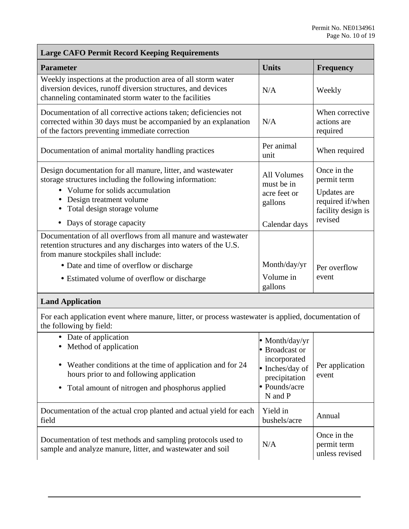unless revised

| <b>Large CAFO Permit Record Keeping Requirements</b>                                                                                                                                                                                                                 |                                                                                                                |                                                                                                |  |  |
|----------------------------------------------------------------------------------------------------------------------------------------------------------------------------------------------------------------------------------------------------------------------|----------------------------------------------------------------------------------------------------------------|------------------------------------------------------------------------------------------------|--|--|
| <b>Parameter</b>                                                                                                                                                                                                                                                     | <b>Units</b>                                                                                                   | <b>Frequency</b>                                                                               |  |  |
| Weekly inspections at the production area of all storm water<br>diversion devices, runoff diversion structures, and devices<br>channeling contaminated storm water to the facilities                                                                                 | N/A                                                                                                            | Weekly                                                                                         |  |  |
| Documentation of all corrective actions taken; deficiencies not<br>corrected within 30 days must be accompanied by an explanation<br>of the factors preventing immediate correction                                                                                  | N/A                                                                                                            | When corrective<br>actions are<br>required                                                     |  |  |
| Documentation of animal mortality handling practices                                                                                                                                                                                                                 | Per animal<br>unit                                                                                             | When required                                                                                  |  |  |
| Design documentation for all manure, litter, and wastewater<br>storage structures including the following information:<br>• Volume for solids accumulation<br>• Design treatment volume<br>Total design storage volume<br>• Days of storage capacity                 | <b>All Volumes</b><br>must be in<br>acre feet or<br>gallons<br>Calendar days                                   | Once in the<br>permit term<br>Updates are<br>required if/when<br>facility design is<br>revised |  |  |
| Documentation of all overflows from all manure and wastewater<br>retention structures and any discharges into waters of the U.S.<br>from manure stockpiles shall include:<br>• Date and time of overflow or discharge<br>• Estimated volume of overflow or discharge | Month/day/yr<br>Volume in                                                                                      |                                                                                                |  |  |
|                                                                                                                                                                                                                                                                      | gallons                                                                                                        |                                                                                                |  |  |
| <b>Land Application</b>                                                                                                                                                                                                                                              |                                                                                                                |                                                                                                |  |  |
| For each application event where manure, litter, or process wastewater is applied, documentation of<br>the following by field:                                                                                                                                       |                                                                                                                |                                                                                                |  |  |
| Date of application<br>• Method of application<br>Weather conditions at the time of application and for 24<br>hours prior to and following application<br>Total amount of nitrogen and phosphorus applied                                                            | • Month/day/yr<br>• Broadcast or<br>incorporated<br>Inches/day of<br>precipitation<br>• Pounds/acre<br>N and P | Per application<br>event                                                                       |  |  |
| Documentation of the actual crop planted and actual yield for each<br>field                                                                                                                                                                                          | Yield in<br>bushels/acre                                                                                       | Annual                                                                                         |  |  |
| Documentation of test methods and sampling protocols used to                                                                                                                                                                                                         | N/A                                                                                                            | Once in the<br>permit term                                                                     |  |  |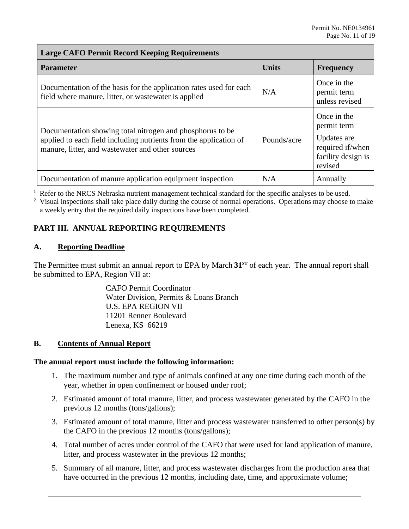#### **Large CAFO Permit Record Keeping Requirements**

| <b>Parameter</b>                                                                                                                                                                   | <b>Units</b> | <b>Frequency</b>                                                                               |
|------------------------------------------------------------------------------------------------------------------------------------------------------------------------------------|--------------|------------------------------------------------------------------------------------------------|
| Documentation of the basis for the application rates used for each<br>field where manure, litter, or wastewater is applied                                                         | N/A          | Once in the<br>permit term<br>unless revised                                                   |
| Documentation showing total nitrogen and phosphorus to be<br>applied to each field including nutrients from the application of<br>manure, litter, and wastewater and other sources | Pounds/acre  | Once in the<br>permit term<br>Updates are<br>required if/when<br>facility design is<br>revised |
| Documentation of manure application equipment inspection                                                                                                                           | N/A          | Annually                                                                                       |

<sup>1</sup> Refer to the NRCS Nebraska nutrient management technical standard for the specific analyses to be used.<br><sup>2</sup> Visual inspections shall take place daily during the course of normal operations. Operations may choose to

 $2$  Visual inspections shall take place daily during the course of normal operations. Operations may choose to make a weekly entry that the required daily inspections have been completed.

# **PART III. ANNUAL REPORTING REQUIREMENTS**

#### **A. Reporting Deadline**

 The Permittee must submit an annual report to EPA by March **31ST** of each year. The annual report shall be submitted to EPA, Region VII at:

> Water Division, Permits & Loans Branch CAFO Permit Coordinator U.S. EPA REGION VII 11201 Renner Boulevard Lenexa, KS 66219

#### **Contents of Annual Report**

# **B.** Contents of Annual Report<br>The annual report must include the following information:

- 1. The maximum number and type of animals confined at any one time during each month of the year, whether in open confinement or housed under roof;
- 2. Estimated amount of total manure, litter, and process wastewater generated by the CAFO in the previous 12 months (tons/gallons);
- 3. Estimated amount of total manure, litter and process wastewater transferred to other person(s) by the CAFO in the previous 12 months (tons/gallons);
- 4. Total number of acres under control of the CAFO that were used for land application of manure, litter, and process wastewater in the previous 12 months;
- have occurred in the previous 12 months, including date, time, and approximate volume; 5. Summary of all manure, litter, and process wastewater discharges from the production area that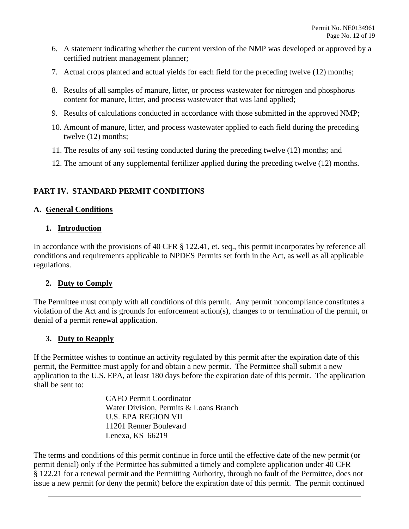- 6. A statement indicating whether the current version of the NMP was developed or approved by a certified nutrient management planner;
- 7. Actual crops planted and actual yields for each field for the preceding twelve (12) months;
- 8. Results of all samples of manure, litter, or process wastewater for nitrogen and phosphorus content for manure, litter, and process wastewater that was land applied;
- 9. Results of calculations conducted in accordance with those submitted in the approved NMP;
- 10. Amount of manure, litter, and process wastewater applied to each field during the preceding twelve (12) months;
- 11. The results of any soil testing conducted during the preceding twelve (12) months; and
- 12. The amount of any supplemental fertilizer applied during the preceding twelve (12) months.

# **PART IV. STANDARD PERMIT CONDITIONS**

#### **A. General Conditions**

#### **1. Introduction**

In accordance with the provisions of 40 CFR § 122.41, et. seq., this permit incorporates by reference all conditions and requirements applicable to NPDES Permits set forth in the Act, as well as all applicable regulations.

#### **2. Duty to Comply**

The Permittee must comply with all conditions of this permit. Any permit noncompliance constitutes a violation of the Act and is grounds for enforcement action(s), changes to or termination of the permit, or denial of a permit renewal application.

#### **3. Duty to Reapply**

 permit, the Permittee must apply for and obtain a new permit. The Permittee shall submit a new If the Permittee wishes to continue an activity regulated by this permit after the expiration date of this application to the U.S. EPA, at least 180 days before the expiration date of this permit. The application shall be sent to:

> CAFO Permit Coordinator Water Division, Permits & Loans Branch U.S. EPA REGION VII 11201 Renner Boulevard Lenexa, KS 66219

The terms and conditions of this permit continue in force until the effective date of the new permit (or permit denial) only if the Permittee has submitted a timely and complete application under 40 CFR § 122.21 for a renewal permit and the Permitting Authority, through no fault of the Permittee, does not issue a new permit (or deny the permit) before the expiration date of this permit. The permit continued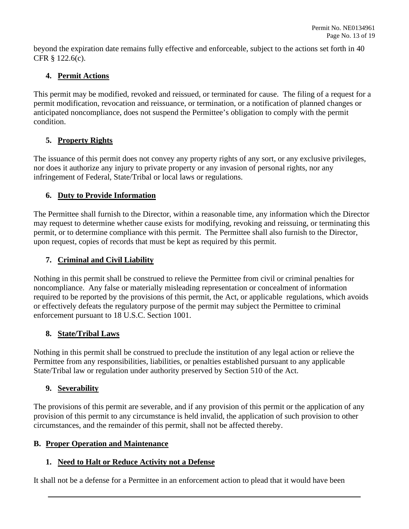beyond the expiration date remains fully effective and enforceable, subject to the actions set forth in 40 CFR § 122.6(c).

# **4. Permit Actions**

 This permit may be modified, revoked and reissued, or terminated for cause. The filing of a request for a permit modification, revocation and reissuance, or termination, or a notification of planned changes or anticipated noncompliance, does not suspend the Permittee's obligation to comply with the permit condition.

# **5. Property Rights**

The issuance of this permit does not convey any property rights of any sort, or any exclusive privileges, nor does it authorize any injury to private property or any invasion of personal rights, nor any infringement of Federal, State/Tribal or local laws or regulations.

# **6. Duty to Provide Information**

 upon request, copies of records that must be kept as required by this permit. The Permittee shall furnish to the Director, within a reasonable time, any information which the Director may request to determine whether cause exists for modifying, revoking and reissuing, or terminating this permit, or to determine compliance with this permit. The Permittee shall also furnish to the Director,

# **7. Criminal and Civil Liability**

Nothing in this permit shall be construed to relieve the Permittee from civil or criminal penalties for noncompliance. Any false or materially misleading representation or concealment of information required to be reported by the provisions of this permit, the Act, or applicable regulations, which avoids or effectively defeats the regulatory purpose of the permit may subject the Permittee to criminal enforcement pursuant to 18 U.S.C. Section 1001.

# **8. State/Tribal Laws**

 Nothing in this permit shall be construed to preclude the institution of any legal action or relieve the State/Tribal law or regulation under authority preserved by Section 510 of the Act. Permittee from any responsibilities, liabilities, or penalties established pursuant to any applicable

# **9. Severability**

The provisions of this permit are severable, and if any provision of this permit or the application of any provision of this permit to any circumstance is held invalid, the application of such provision to other circumstances, and the remainder of this permit, shall not be affected thereby.

# **B. Proper Operation and Maintenance**

# **1. Need to Halt or Reduce Activity not a Defense**

It shall not be a defense for a Permittee in an enforcement action to plead that it would have been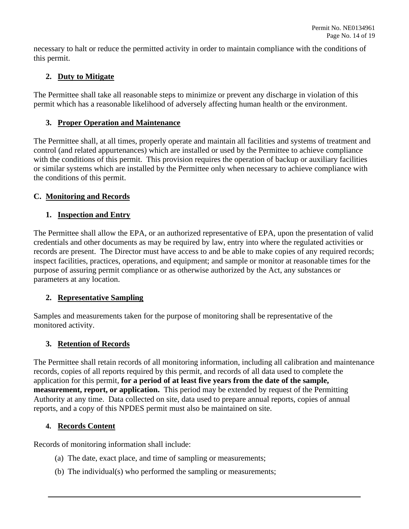necessary to halt or reduce the permitted activity in order to maintain compliance with the conditions of this permit.

# **2. Duty to Mitigate**

The Permittee shall take all reasonable steps to minimize or prevent any discharge in violation of this permit which has a reasonable likelihood of adversely affecting human health or the environment.

# **3. Proper Operation and Maintenance**

 the conditions of this permit. The Permittee shall, at all times, properly operate and maintain all facilities and systems of treatment and control (and related appurtenances) which are installed or used by the Permittee to achieve compliance with the conditions of this permit. This provision requires the operation of backup or auxiliary facilities or similar systems which are installed by the Permittee only when necessary to achieve compliance with

# **C. Monitoring and Records**

# **1. Inspection and Entry**

 credentials and other documents as may be required by law, entry into where the regulated activities or inspect facilities, practices, operations, and equipment; and sample or monitor at reasonable times for the The Permittee shall allow the EPA, or an authorized representative of EPA, upon the presentation of valid records are present. The Director must have access to and be able to make copies of any required records; purpose of assuring permit compliance or as otherwise authorized by the Act, any substances or parameters at any location.

# **2. Representative Sampling**

Samples and measurements taken for the purpose of monitoring shall be representative of the monitored activity.

# **3. Retention of Records**

 records, copies of all reports required by this permit, and records of all data used to complete the **measurement, report, or application.** This period may be extended by request of the Permitting Authority at any time. Data collected on site, data used to prepare annual reports, copies of annual The Permittee shall retain records of all monitoring information, including all calibration and maintenance application for this permit, **for a period of at least five years from the date of the sample,**  reports, and a copy of this NPDES permit must also be maintained on site.

# **4. Records Content**

Records of monitoring information shall include:

- (a) The date, exact place, and time of sampling or measurements;
- (b) The individual(s) who performed the sampling or measurements;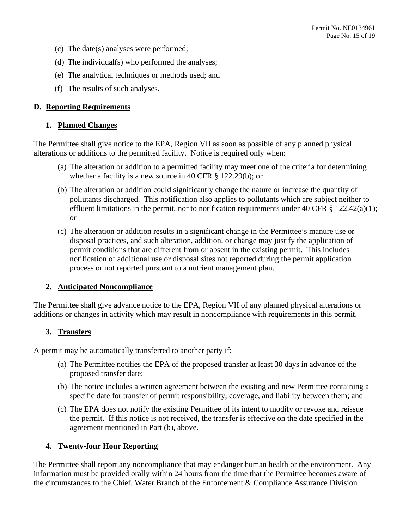- (c) The date(s) analyses were performed;
- (d) The individual(s) who performed the analyses;
- (e) The analytical techniques or methods used; and
- (f) The results of such analyses.

#### **D. Reporting Requirements**

#### **1. Planned Changes**

 The Permittee shall give notice to the EPA, Region VII as soon as possible of any planned physical alterations or additions to the permitted facility. Notice is required only when:

- whether a facility is a new source in 40 CFR § 122.29(b); or (a) The alteration or addition to a permitted facility may meet one of the criteria for determining
- effluent limitations in the permit, nor to notification requirements under 40 CFR § 122.42(a)(1); (b) The alteration or addition could significantly change the nature or increase the quantity of pollutants discharged. This notification also applies to pollutants which are subject neither to or
- (c) The alteration or addition results in a significant change in the Permittee's manure use or disposal practices, and such alteration, addition, or change may justify the application of permit conditions that are different from or absent in the existing permit. This includes notification of additional use or disposal sites not reported during the permit application process or not reported pursuant to a nutrient management plan.

#### **2. Anticipated Noncompliance**

The Permittee shall give advance notice to the EPA, Region VII of any planned physical alterations or additions or changes in activity which may result in noncompliance with requirements in this permit.

#### **3. Transfers**

A permit may be automatically transferred to another party if:

- (a) The Permittee notifies the EPA of the proposed transfer at least 30 days in advance of the proposed transfer date;
- (b) The notice includes a written agreement between the existing and new Permittee containing a specific date for transfer of permit responsibility, coverage, and liability between them; and
- the permit. If this notice is not received, the transfer is effective on the date specified in the (c) The EPA does not notify the existing Permittee of its intent to modify or revoke and reissue agreement mentioned in Part (b), above.

# **4. Twenty-four Hour Reporting**

 information must be provided orally within 24 hours from the time that the Permittee becomes aware of the circumstances to the Chief, Water Branch of the Enforcement & Compliance Assurance Division The Permittee shall report any noncompliance that may endanger human health or the environment. Any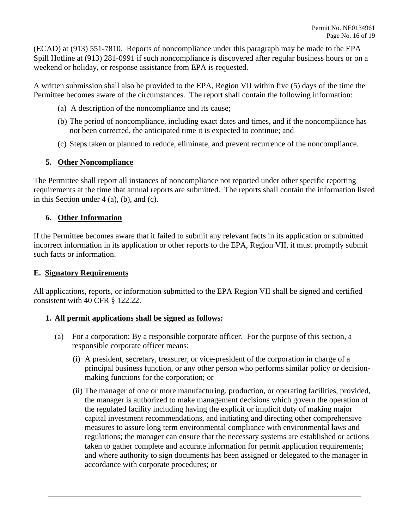(ECAD) at (913) 551-7810. Reports of noncompliance under this paragraph may be made to the EPA Spill Hotline at (913) 281-0991 if such noncompliance is discovered after regular business hours or on a weekend or holiday, or response assistance from EPA is requested.

 A written submission shall also be provided to the EPA, Region VII within five (5) days of the time the Permittee becomes aware of the circumstances. The report shall contain the following information:

- (a) A description of the noncompliance and its cause;
- (b) The period of noncompliance, including exact dates and times, and if the noncompliance has not been corrected, the anticipated time it is expected to continue; and
- (c) Steps taken or planned to reduce, eliminate, and prevent recurrence of the noncompliance.

#### **5. Other Noncompliance**

 in this Section under 4 (a), (b), and (c). The Permittee shall report all instances of noncompliance not reported under other specific reporting requirements at the time that annual reports are submitted. The reports shall contain the information listed

#### **6. Other Information**

 incorrect information in its application or other reports to the EPA, Region VII, it must promptly submit If the Permittee becomes aware that it failed to submit any relevant facts in its application or submitted such facts or information.

#### **E. Signatory Requirements**

 All applications, reports, or information submitted to the EPA Region VII shall be signed and certified consistent with 40 CFR § 122.22.

# **1. All permit applications shall be signed as follows:**

- (a) For a corporation: By a responsible corporate officer. For the purpose of this section, a responsible corporate officer means:
	- (i) A president, secretary, treasurer, or vice-president of the corporation in charge of a principal business function, or any other person who performs similar policy or decisionmaking functions for the corporation; or
	- taken to gather complete and accurate information for permit application requirements; (ii) The manager of one or more manufacturing, production, or operating facilities, provided, the manager is authorized to make management decisions which govern the operation of the regulated facility including having the explicit or implicit duty of making major capital investment recommendations, and initiating and directing other comprehensive measures to assure long term environmental compliance with environmental laws and regulations; the manager can ensure that the necessary systems are established or actions and where authority to sign documents has been assigned or delegated to the manager in accordance with corporate procedures; or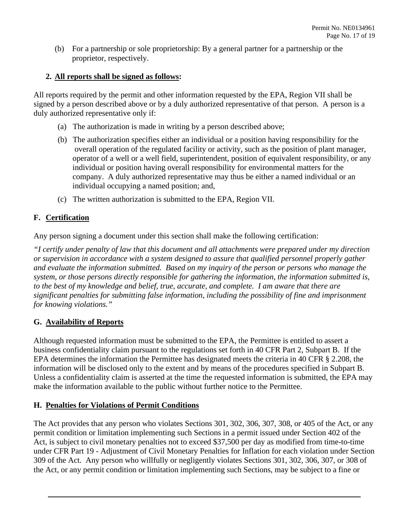(b) For a partnership or sole proprietorship: By a general partner for a partnership or the proprietor, respectively.

# **2. All reports shall be signed as follows:**

 All reports required by the permit and other information requested by the EPA, Region VII shall be signed by a person described above or by a duly authorized representative of that person. A person is a duly authorized representative only if:

- (a) The authorization is made in writing by a person described above;
- operator of a well or a well field, superintendent, position of equivalent responsibility, or any (b) The authorization specifies either an individual or a position having responsibility for the overall operation of the regulated facility or activity, such as the position of plant manager, individual or position having overall responsibility for environmental matters for the company. A duly authorized representative may thus be either a named individual or an individual occupying a named position; and,
- (c) The written authorization is submitted to the EPA, Region VII.

# **F. Certification**

Any person signing a document under this section shall make the following certification:

*"I certify under penalty of law that this document and all attachments were prepared under my direction or supervision in accordance with a system designed to assure that qualified personnel properly gather and evaluate the information submitted. Based on my inquiry of the person or persons who manage the system, or those persons directly responsible for gathering the information, the information submitted is, to the best of my knowledge and belief, true, accurate, and complete. I am aware that there are significant penalties for submitting false information, including the possibility of fine and imprisonment for knowing violations."* 

#### **G. Availability of Reports**

Although requested information must be submitted to the EPA, the Permittee is entitled to assert a business confidentiality claim pursuant to the regulations set forth in 40 CFR Part 2, Subpart B. If the EPA determines the information the Permittee has designated meets the criteria in 40 CFR § 2.208, the information will be disclosed only to the extent and by means of the procedures specified in Subpart B. Unless a confidentiality claim is asserted at the time the requested information is submitted, the EPA may make the information available to the public without further notice to the Permittee.

#### **H. Penalties for Violations of Permit Conditions**

 the Act, or any permit condition or limitation implementing such Sections, may be subject to a fine or The Act provides that any person who violates Sections 301, 302, 306, 307, 308, or 405 of the Act, or any permit condition or limitation implementing such Sections in a permit issued under Section 402 of the Act, is subject to civil monetary penalties not to exceed \$37,500 per day as modified from time-to-time under CFR Part 19 - Adjustment of Civil Monetary Penalties for Inflation for each violation under Section 309 of the Act. Any person who willfully or negligently violates Sections 301, 302, 306, 307, or 308 of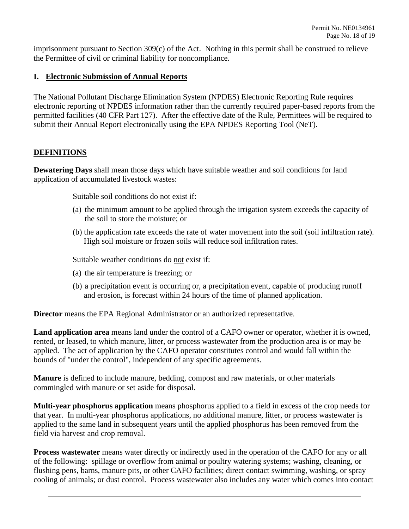imprisonment pursuant to Section 309(c) of the Act. Nothing in this permit shall be construed to relieve the Permittee of civil or criminal liability for noncompliance.

### **I. Electronic Submission of Annual Reports**

 electronic reporting of NPDES information rather than the currently required paper-based reports from the permitted facilities (40 CFR Part 127). After the effective date of the Rule, Permittees will be required to The National Pollutant Discharge Elimination System (NPDES) Electronic Reporting Rule requires submit their Annual Report electronically using the EPA NPDES Reporting Tool (NeT).

# **DEFINITIONS**

**Dewatering Days** shall mean those days which have suitable weather and soil conditions for land application of accumulated livestock wastes:

Suitable soil conditions do not exist if:

- (a) the minimum amount to be applied through the irrigation system exceeds the capacity of the soil to store the moisture; or
- (b) the application rate exceeds the rate of water movement into the soil (soil infiltration rate). High soil moisture or frozen soils will reduce soil infiltration rates.

Suitable weather conditions do not exist if:

- (a) the air temperature is freezing; or
- (b) a precipitation event is occurring or, a precipitation event, capable of producing runoff and erosion, is forecast within 24 hours of the time of planned application.

**Director** means the EPA Regional Administrator or an authorized representative.

**Land application area** means land under the control of a CAFO owner or operator, whether it is owned, rented, or leased, to which manure, litter, or process wastewater from the production area is or may be applied. The act of application by the CAFO operator constitutes control and would fall within the bounds of "under the control", independent of any specific agreements.

 **Manure** is defined to include manure, bedding, compost and raw materials, or other materials commingled with manure or set aside for disposal.

**Multi-year phosphorus application** means phosphorus applied to a field in excess of the crop needs for that year. In multi-year phosphorus applications, no additional manure, litter, or process wastewater is applied to the same land in subsequent years until the applied phosphorus has been removed from the field via harvest and crop removal.

 of the following: spillage or overflow from animal or poultry watering systems; washing, cleaning, or **Process wastewater** means water directly or indirectly used in the operation of the CAFO for any or all flushing pens, barns, manure pits, or other CAFO facilities; direct contact swimming, washing, or spray cooling of animals; or dust control. Process wastewater also includes any water which comes into contact